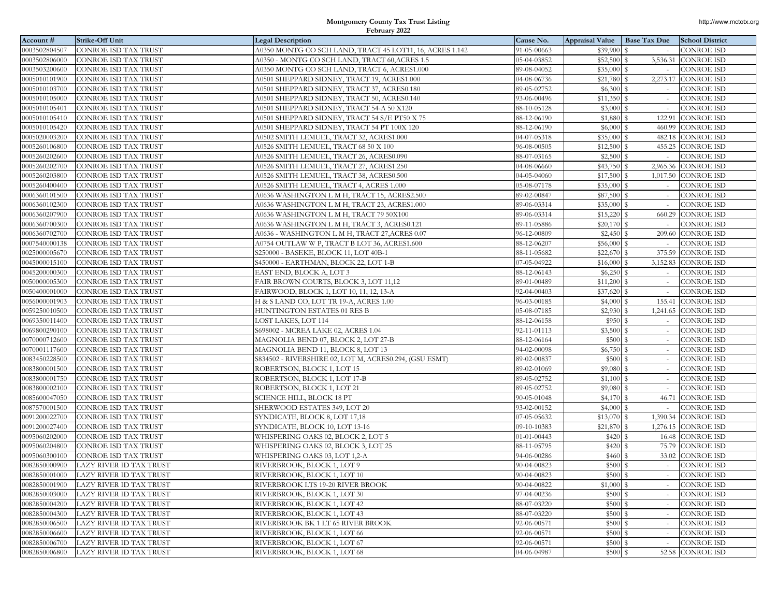| Account #     | Strike-Off Unit                       | <b>Legal Description</b>                                 | Cause No.   | Appraisal Value   Base Tax Due |             | <b>School District</b> |
|---------------|---------------------------------------|----------------------------------------------------------|-------------|--------------------------------|-------------|------------------------|
| 0003502804507 | CONROE ISD TAX TRUST                  | A0350 MONTG CO SCH LAND, TRACT 45 LOT11, 16, ACRES 1.142 | 91-05-00663 | \$39,900                       | S           | <b>CONROE ISD</b>      |
| 0003502806000 | CONROE ISD TAX TRUST                  | A0350 - MONTG CO SCH LAND, TRACT 60, ACRES 1.5           | 05-04-03852 | \$52,500 \$                    |             | 3,536.31 CONROE ISD    |
| 0003503200600 | CONROE ISD TAX TRUST                  | A0350 MONTG CO SCH LAND, TRACT 6, ACRES1.000             | 89-08-04052 | \$35,000                       | S           | <b>CONROE ISD</b>      |
| 0005010101900 | CONROE ISD TAX TRUST                  | A0501 SHEPPARD SIDNEY, TRACT 19, ACRES1.000              | 04-08-06736 | \$21,780                       | s           | 2,273.17 CONROE ISD    |
| 0005010103700 | CONROE ISD TAX TRUST                  | A0501 SHEPPARD SIDNEY, TRACT 37, ACRES0.180              | 89-05-02752 | \$6,300                        | s           | <b>CONROE ISD</b>      |
| 0005010105000 | CONROE ISD TAX TRUST                  | A0501 SHEPPARD SIDNEY, TRACT 50, ACRES0.140              | 93-06-00496 | \$11,350                       | s           | <b>CONROE ISD</b>      |
| 0005010105401 | CONROE ISD TAX TRUST                  | A0501 SHEPPARD SIDNEY, TRACT 54-A 50 X120                | 88-10-05128 | \$3,000                        | s           | <b>CONROE ISD</b>      |
| 0005010105410 | CONROE ISD TAX TRUST                  | A0501 SHEPPARD SIDNEY, TRACT 54 S/E PT50 X 75            | 88-12-06190 | \$1,880                        | 122.91<br>s | <b>CONROE ISD</b>      |
| 0005010105420 | CONROE ISD TAX TRUST                  | A0501 SHEPPARD SIDNEY, TRACT 54 PT 100X 120              | 88-12-06190 | \$6,000                        | s           | 460.99 CONROE ISD      |
| 0005020003200 | CONROE ISD TAX TRUST                  | A0502 SMITH LEMUEL, TRACT 32, ACRES1.000                 | 04-07-05318 | \$35,000 \$                    |             | 482.18 CONROE ISD      |
| 0005260106800 | CONROE ISD TAX TRUST                  | A0526 SMITH LEMUEL, TRACT 68 50 X 100                    | 96-08-00505 | \$12,500                       | s           | 455.25 CONROE ISD      |
| 0005260202600 | CONROE ISD TAX TRUST                  | A0526 SMITH LEMUEL, TRACT 26, ACRES0.090                 | 88-07-03165 | \$2,500                        | s<br>$\sim$ | <b>CONROE ISD</b>      |
| 0005260202700 | CONROE ISD TAX TRUST                  | A0526 SMITH LEMUEL, TRACT 27, ACRES1.250                 | 04-08-06660 | $$43,750$ \$                   |             | 2,965.36 CONROE ISD    |
| 0005260203800 | CONROE ISD TAX TRUST                  | A0526 SMITH LEMUEL, TRACT 38, ACRES0.500                 | 04-05-04060 | \$17,500                       | s           | 1,017.50 CONROE ISD    |
| 0005260400400 | CONROE ISD TAX TRUST                  | A0526 SMITH LEMUEL, TRACT 4, ACRES 1.000                 | 05-08-07178 | \$35,000                       | s           | <b>CONROE ISD</b>      |
| 0006360101500 | CONROE ISD TAX TRUST                  | A0636 WASHINGTON L M H, TRACT 15, ACRES2.500             | 89-02-00847 | \$87,500                       | s           | CONROE ISD             |
| 0006360102300 | CONROE ISD TAX TRUST                  | A0636 WASHINGTON L M H, TRACT 23, ACRES1.000             | 89-06-03314 | \$35,000 \$                    |             | <b>CONROE ISD</b>      |
| 0006360207900 | CONROE ISD TAX TRUST                  | A0636 WASHINGTON L M H, TRACT 79 50X100                  | 89-06-03314 | \$15,220                       | s           | 660.29 CONROE ISD      |
| 0006360700300 | CONROE ISD TAX TRUST                  | A0636 WASHINGTON L M H, TRACT 3, ACRES0.121              | 89-11-05886 | $$20,170$ \$                   |             | <b>CONROE ISD</b>      |
| 0006360702700 | CONROE ISD TAX TRUST                  | A0636 - WASHINGTON L M H, TRACT 27, ACRES 0.07           | 96-12-00809 |                                |             | 209.60 CONROE ISD      |
| 0007540000138 | CONROE ISD TAX TRUST                  | A0754 OUTLAW W P, TRACT B LOT 36, ACRES1.600             | 88-12-06207 | \$56,000                       | s           | <b>CONROE ISD</b>      |
| 0025000005670 | CONROE ISD TAX TRUST                  | S250000 - BASEKE, BLOCK 11, LOT 40B-1                    | 88-11-05682 | \$22,670                       | S           | 375.59 CONROE ISD      |
| 0045000015100 | CONROE ISD TAX TRUST                  | S450000 - EARTHMAN, BLOCK 22, LOT 1-B                    | 07-05-04922 | \$16,000                       | s           | 3,152.83 CONROE ISD    |
| 0045200000300 | CONROE ISD TAX TRUST                  | EAST END, BLOCK A, LOT 3                                 | 88-12-06143 | $$6,250$ \$                    |             | CONROE ISD             |
| 0050000005300 | CONROE ISD TAX TRUST                  | FAIR BROWN COURTS, BLOCK 3, LOT 11,12                    | 89-01-00489 | \$11,200                       | s           | <b>CONROE ISD</b>      |
| 0050400001000 | CONROE ISD TAX TRUST                  | FAIRWOOD, BLOCK 1, LOT 10, 11, 12, 13-A                  | 92-04-00403 | \$37,620                       | s           | CONROE ISD             |
| 0056000001903 | CONROE ISD TAX TRUST                  | H & S LAND CO, LOT TR 19-A, ACRES 1.00                   | 96-03-00185 | $$4,000$ \$                    |             | 155.41 CONROE ISD      |
| 0059250010500 | CONROE ISD TAX TRUST                  | HUNTINGTON ESTATES 01 RES B                              | 05-08-07185 | \$2,930                        | s           | 1,241.65 CONROE ISD    |
| 0069350011400 | CONROE ISD TAX TRUST                  | LOST LAKES, LOT 114                                      | 88-12-06158 | \$950                          | s           | <b>CONROE ISD</b>      |
| 0069800290100 | CONROE ISD TAX TRUST                  | S698002 - MCREA LAKE 02, ACRES 1.04                      | 92-11-01113 | \$3,500                        | s           | CONROE ISD             |
| 0070000712600 | CONROE ISD TAX TRUST                  | MAGNOLIA BEND 07, BLOCK 2, LOT 27-B                      | 88-12-06164 | \$500                          | s           | <b>CONROE ISD</b>      |
| 0070001117600 | CONROE ISD TAX TRUST                  | MAGNOLIA BEND 11, BLOCK 8, LOT 13                        | 94-02-00098 | \$6,750                        | s           | CONROE ISD             |
| 083450228500  | CONROE ISD TAX TRUST                  | S834502 - RIVERSHIRE 02, LOT M, ACRES0.294, (GSU ESMT)   | 89-02-00837 | \$500                          | s           | CONROE ISD             |
| 0083800001500 | CONROE ISD TAX TRUST                  | ROBERTSON, BLOCK 1, LOT 15                               | 89-02-01069 | \$9,080                        | s           | <b>CONROE ISD</b>      |
| 0083800001750 | CONROE ISD TAX TRUST                  | ROBERTSON, BLOCK 1, LOT 17-B                             | 89-05-02752 | $$1,100$ \$                    |             | <b>CONROE ISD</b>      |
| 0083800002100 | CONROE ISD TAX TRUST                  | ROBERTSON, BLOCK 1, LOT 21                               | 89-05-02752 | \$9,080                        | s           | <b>CONROE ISD</b>      |
| 0085600047050 | CONROE ISD TAX TRUST                  | SCIENCE HILL, BLOCK 18 PT                                | 90-05-01048 | \$4,170                        | s           | 46.71 CONROE ISD       |
| 0087570001500 | CONROE ISD TAX TRUST                  | SHERWOOD ESTATES 349, LOT 20                             | 93-02-00152 | $$4,000$ \$                    |             | <b>CONROE ISD</b>      |
| 0091200022700 | CONROE ISD TAX TRUST                  | SYNDICATE, BLOCK 8, LOT 17,18                            | 07-05-05632 | \$13,070                       | s           | 1,390.34 CONROE ISD    |
| 0091200027400 | CONROE ISD TAX TRUST                  | SYNDICATE, BLOCK 10, LOT 13-16                           | 09-10-10383 | \$21,870                       | s           | 1,276.15 CONROE ISD    |
| 095060202000  | CONROE ISD TAX TRUST                  | WHISPERING OAKS 02, BLOCK 2, LOT 5                       | 01-01-00443 | \$420                          | s           | 16.48 CONROE ISD       |
| 0095060204800 | CONROE ISD TAX TRUST                  | WHISPERING OAKS 02, BLOCK 3, LOT 25                      | 88-11-05795 | \$420                          | s           | 75.79 CONROE ISD       |
| 0095060300100 | CONROE ISD TAX TRUST                  | WHISPERING OAKS 03, LOT 1,2-A                            | 94-06-00286 | \$460                          | s           | 33.02 CONROE ISD       |
| 0082850000900 | <b>LAZY RIVER ID TAX TRUST</b>        | RIVERBROOK, BLOCK 1, LOT 9                               | 90-04-00823 | \$500 \$                       |             | <b>CONROE ISD</b>      |
|               | 0082850001000 LAZY RIVER ID TAX TRUST | RIVERBROOK, BLOCK 1, LOT 10                              | 90-04-00823 | \$500 \$                       |             | <b>CONROE ISD</b>      |
| 0082850001900 | LAZY RIVER ID TAX TRUST               | RIVERBROOK LTS 19-20 RIVER BROOK                         | 90-04-00822 | $$1,000$ \$                    |             | <b>CONROE ISD</b>      |
| 0082850003000 | LAZY RIVER ID TAX TRUST               | RIVERBROOK, BLOCK 1, LOT 30                              | 97-04-00236 | \$500                          |             | <b>CONROE ISD</b>      |
| 0082850004200 | LAZY RIVER ID TAX TRUST               | RIVERBROOK, BLOCK 1, LOT 42                              | 88-07-03220 | \$500S                         | $\sim$      | <b>CONROE ISD</b>      |
| 0082850004300 | LAZY RIVER ID TAX TRUST               | RIVERBROOK, BLOCK 1, LOT 43                              | 88-07-03220 | \$500 \$                       |             | <b>CONROE ISD</b>      |
| 0082850006500 | LAZY RIVER ID TAX TRUST               | RIVERBROOK BK 1 LT 65 RIVER BROOK                        | 92-06-00571 | \$500S                         |             | <b>CONROE ISD</b>      |
| 0082850006600 | LAZY RIVER ID TAX TRUST               | RIVERBROOK, BLOCK 1, LOT 66                              | 92-06-00571 | \$500S                         |             | <b>CONROE ISD</b>      |
| 0082850006700 | LAZY RIVER ID TAX TRUST               | RIVERBROOK, BLOCK 1, LOT 67                              | 92-06-00571 | \$500S                         |             | <b>CONROE ISD</b>      |
| 0082850006800 | LAZY RIVER ID TAX TRUST               | RIVERBROOK, BLOCK 1, LOT 68                              | 04-06-04987 | \$500 \$                       |             | 52.58 CONROE ISD       |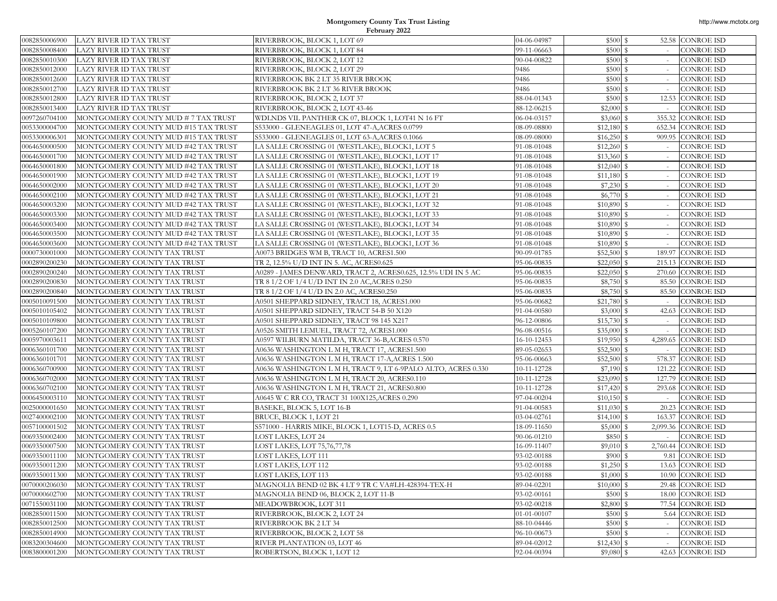| 0082850006900                  | LAZY RIVER ID TAX TRUST                                    | RIVERBROOK, BLOCK 1, LOT 69                                   | 04-06-04987                | \$500S             |               | 52.58 CONROE ISD                     |
|--------------------------------|------------------------------------------------------------|---------------------------------------------------------------|----------------------------|--------------------|---------------|--------------------------------------|
| 0082850008400                  | LAZY RIVER ID TAX TRUST                                    | RIVERBROOK, BLOCK 1, LOT 84                                   | 99-11-06663                | \$500S             |               | <b>CONROE ISD</b>                    |
| 0082850010300                  | LAZY RIVER ID TAX TRUST                                    | RIVERBROOK, BLOCK 2, LOT 12                                   | 90-04-00822                | \$500 \$           |               | <b>CONROE ISD</b>                    |
| 0082850012000                  | LAZY RIVER ID TAX TRUST                                    | RIVERBROOK, BLOCK 2, LOT 29                                   | 9486                       | \$500 \$           |               | <b>CONROE ISD</b>                    |
| 0082850012600                  | LAZY RIVER ID TAX TRUST                                    | RIVERBROOK BK 2 LT 35 RIVER BROOK                             | 9486                       | \$500 \$           |               | <b>CONROE ISD</b>                    |
| 0082850012700                  | LAZY RIVER ID TAX TRUST                                    | RIVERBROOK BK 2 LT 36 RIVER BROOK                             | 9486                       | \$500              | s             | <b>CONROE ISD</b>                    |
| 0082850012800                  | LAZY RIVER ID TAX TRUST                                    | RIVERBROOK, BLOCK 2, LOT 37                                   | 88-04-01343                | \$500 \$           | 12.53         | <b>CONROE ISD</b>                    |
| 0082850013400                  | LAZY RIVER ID TAX TRUST                                    | RIVERBROOK, BLOCK 2, LOT 43-46                                | 88-12-06215                | $$2,000$ $$$       |               | <b>CONROE ISD</b>                    |
| 0097260704100                  | MONTGOMERY COUNTY MUD # 7 TAX TRUST                        | WDLNDS VIL PANTHER CK 07, BLOCK 1, LOT41 N 16 FT              | 06-04-03157                | \$3,060            | 355.32<br>S   | <b>CONROE ISD</b>                    |
| 0053300004700                  | MONTGOMERY COUNTY MUD #15 TAX TRUST                        | S533000 - GLENEAGLES 01, LOT 47-A, ACRES 0.0799               | 08-09-08800                |                    | 652.34        | <b>CONROE ISD</b>                    |
| 0053300006301                  | MONTGOMERY COUNTY MUD #15 TAX TRUST                        | S533000 - GLENEAGLES 01, LOT 63-A, ACRES 0.1066               | 08-09-08000                |                    | 909.95        | <b>CONROE ISD</b>                    |
| 0064650000500                  | MONTGOMERY COUNTY MUD #42 TAX TRUST                        | LA SALLE CROSSING 01 (WESTLAKE), BLOCK1, LOT 5                | 91-08-01048                | $$12,260$ \$       | $\sim$        | <b>CONROE ISD</b>                    |
| 0064650001700                  | MONTGOMERY COUNTY MUD #42 TAX TRUST                        | LA SALLE CROSSING 01 (WESTLAKE), BLOCK1, LOT 17               | 91-08-01048                | $$13,360$ \$       |               | CONROE ISD                           |
| 0064650001800                  | MONTGOMERY COUNTY MUD #42 TAX TRUST                        | LA SALLE CROSSING 01 (WESTLAKE), BLOCK1, LOT 18               | 91-08-01048                | $$12,040$ \$       |               | CONROE ISD                           |
| 0064650001900                  | MONTGOMERY COUNTY MUD #42 TAX TRUST                        | LA SALLE CROSSING 01 (WESTLAKE), BLOCK1, LOT 19               | 91-08-01048                |                    |               | <b>CONROE ISD</b>                    |
| 0064650002000                  | MONTGOMERY COUNTY MUD #42 TAX TRUST                        | LA SALLE CROSSING 01 (WESTLAKE), BLOCK1, LOT 20               | 91-08-01048                |                    |               | <b>CONROE ISD</b>                    |
| 0064650002100                  | MONTGOMERY COUNTY MUD #42 TAX TRUST                        | LA SALLE CROSSING 01 (WESTLAKE), BLOCK1, LOT 21               | 91-08-01048                | \$6,770 \$         |               | <b>CONROE ISD</b>                    |
| 0064650003200                  | MONTGOMERY COUNTY MUD #42 TAX TRUST                        | LA SALLE CROSSING 01 (WESTLAKE), BLOCK1, LOT 32               | 91-08-01048                | $$10,890$ \$       | $\sim$        | <b>CONROE ISD</b>                    |
| 0064650003300                  | MONTGOMERY COUNTY MUD #42 TAX TRUST                        | LA SALLE CROSSING 01 (WESTLAKE), BLOCK1, LOT 33               | 91-08-01048                | $$10,890$ \$       |               | <b>CONROE ISD</b>                    |
| 0064650003400                  | MONTGOMERY COUNTY MUD #42 TAX TRUST                        | LA SALLE CROSSING 01 (WESTLAKE), BLOCK1, LOT 34               | 91-08-01048                | $$10,890$ \$       |               | <b>CONROE ISD</b>                    |
| 0064650003500                  | MONTGOMERY COUNTY MUD #42 TAX TRUST                        | LA SALLE CROSSING 01 (WESTLAKE), BLOCK1, LOT 35               | 91-08-01048                | $$10,890$ \$       |               | CONROE ISD                           |
| 0064650003600                  | MONTGOMERY COUNTY MUD #42 TAX TRUST                        | LA SALLE CROSSING 01 (WESTLAKE), BLOCK1, LOT 36               | 91-08-01048                | $$10,890$ \$       |               | <b>CONROE ISD</b>                    |
| 0000730001000                  | MONTGOMERY COUNTY TAX TRUST                                | A0073 BRIDGES WM B, TRACT 10, ACRES1.500                      | 90-09-01785                | $$52,500$ \$       | 189.97        | <b>CONROE ISD</b>                    |
| 0002890200230                  | MONTGOMERY COUNTY TAX TRUST                                | TR 2, 12.5% U/D INT IN 5. AC, ACRES0.625                      | 95-06-00835                | $$22,050$ \$       | 215.13        | <b>CONROE ISD</b>                    |
| 0002890200240                  | MONTGOMERY COUNTY TAX TRUST                                | A0289 - JAMES DENWARD, TRACT 2, ACRES0.625, 12.5% UDI IN 5 AC | 95-06-00835                | $$22,050$ \$       |               | 270.60 CONROE ISD                    |
| 0002890200830                  | MONTGOMERY COUNTY TAX TRUST                                | TR 8 1/2 OF 1/4 U/D INT IN 2.0 AC, ACRES 0.250                | 95-06-00835                | \$8,750 \$         |               | 85.50 CONROE ISD                     |
| 0002890200840                  | MONTGOMERY COUNTY TAX TRUST                                | TR 8 1/2 OF 1/4 U/D IN 2.0 AC, ACRES0.250                     | 95-06-00835                |                    | 85.50         | <b>CONROE ISD</b>                    |
| 0005010091500                  | MONTGOMERY COUNTY TAX TRUST                                | A0501 SHEPPARD SIDNEY, TRACT 18, ACRES1.000                   | 95-06-00682                | \$21,780           | l S           | CONROE ISD                           |
| 0005010105402                  | MONTGOMERY COUNTY TAX TRUST                                | A0501 SHEPPARD SIDNEY, TRACT 54-B 50 X120                     | 91-04-00580                | \$3,000S           | 42.63         | <b>CONROE ISD</b>                    |
| 0005010109800                  | MONTGOMERY COUNTY TAX TRUST                                | A0501 SHEPPARD SIDNEY, TRACT 98 145 X217                      | 96-12-00806                | $$15,730$ \$       |               | CONROE ISD                           |
| 0005260107200                  | MONTGOMERY COUNTY TAX TRUST                                | A0526 SMITH LEMUEL, TRACT 72, ACRES1.000                      | 96-08-00516                | $$35,000$ \$       |               | CONROE ISD                           |
| 0005970003611                  | MONTGOMERY COUNTY TAX TRUST                                | A0597 WILBURN MATILDA, TRACT 36-B,ACRES 0.570                 | 16-10-12453                | $$19,950$ \$       | 4,289.65      | <b>CONROE ISD</b>                    |
| 0006360101700                  | MONTGOMERY COUNTY TAX TRUST                                | A0636 WASHINGTON L M H, TRACT 17, ACRES1.500                  | 89-05-02653                | $$52,500$ \$       | $\sim$        | <b>CONROE ISD</b>                    |
| 0006360101701                  | MONTGOMERY COUNTY TAX TRUST                                | A0636 WASHINGTON L M H, TRACT 17-A, ACRES 1.500               | 95-06-00663                | \$52,500           | l S<br>578.37 | <b>CONROE ISD</b>                    |
| 0006360700900                  | MONTGOMERY COUNTY TAX TRUST                                | A0636 WASHINGTON L M H, TRACT 9, LT 6-9PALO ALTO, ACRES 0.330 | 10-11-12728                |                    | 121.22        | <b>CONROE ISD</b>                    |
| 0006360702000                  | MONTGOMERY COUNTY TAX TRUST                                | A0636 WASHINGTON L M H, TRACT 20, ACRES0.110                  | 10-11-12728                |                    | 127.79        | <b>CONROE ISD</b>                    |
| 0006360702100                  | MONTGOMERY COUNTY TAX TRUST                                | A0636 WASHINGTON L M H, TRACT 21, ACRES0.800                  | 10-11-12728                | $$17,420$ \$       | 293.68        | <b>CONROE ISD</b>                    |
| 0006450003110                  | MONTGOMERY COUNTY TAX TRUST                                | A0645 W C RR CO, TRACT 31 100X125,ACRES 0.290                 | 97-04-00204                |                    |               | <b>CONROE ISD</b>                    |
| 0025000001650                  | MONTGOMERY COUNTY TAX TRUST                                | BASEKE, BLOCK 5, LOT 16-B                                     | 91-04-00583                | $$11,030$ \$       | 20.23         | <b>CONROE ISD</b>                    |
| 0027400002100                  | MONTGOMERY COUNTY TAX TRUST                                | BRUCE, BLOCK 1, LOT 21                                        | 03-04-02761                |                    | 163.37        | <b>CONROE ISD</b>                    |
| 0057100001502                  | MONTGOMERY COUNTY TAX TRUST                                | S571000 - HARRIS MIKE, BLOCK 1, LOT15-D, ACRES 0.5            | 18-09-11650                | $$5,000$ \$        | 2,099.36      | <b>CONROE ISD</b>                    |
| 0069350002400                  | MONTGOMERY COUNTY TAX TRUST                                | LOST LAKES, LOT 24                                            | 90-06-01210                | \$850              | l S           | CONROE ISD                           |
| 0069350007500                  | MONTGOMERY COUNTY TAX TRUST                                | LOST LAKES, LOT 75,76,77,78                                   | 16-09-11407                | $$9,010$ \$        | 2,760.44      | <b>CONROE ISD</b>                    |
| 0069350011100                  | MONTGOMERY COUNTY TAX TRUST                                | LOST LAKES, LOT 111                                           | 93-02-00188                | \$900S             | 9.81          | <b>CONROE ISD</b>                    |
| 0069350011200                  | MONTGOMERY COUNTY TAX TRUST                                | LOST LAKES, LOT 112                                           | 93-02-00188                |                    |               | 13.63 CONROE ISD                     |
| 0069350011300                  | MONTGOMERY COUNTY TAX TRUST                                | LOST LAKES, LOT 113                                           | 93-02-00188                | $$1,000$ \$        |               | 10.90 CONROE ISD                     |
| 0070000206030                  | MONTGOMERY COUNTY TAX TRUST                                | MAGNOLIA BEND 02 BK 4 LT 9 TR C VA#LH-428394-TEX-H            | 89-04-02201                | $$10,000$ \$       |               | 29.48 CONROE ISD                     |
| 0070000602700                  | MONTGOMERY COUNTY TAX TRUST                                | MAGNOLIA BEND 06, BLOCK 2, LOT 11-B                           | 93-02-00161                | \$500 \$           | 18.00         | <b>CONROE ISD</b>                    |
| 0071550031100                  | MONTGOMERY COUNTY TAX TRUST                                | MEADOWBROOK, LOT 311                                          | 93-02-00218                | \$2,800 \$         | 77.54         | <b>CONROE ISD</b>                    |
| 0082850011500<br>0082850012500 | MONTGOMERY COUNTY TAX TRUST                                | RIVERBROOK, BLOCK 2, LOT 24<br>RIVERBROOK BK 2 LT 34          | 01-01-00107<br>88-10-04446 | \$500S             |               | 5.64 CONROE ISD<br><b>CONROE ISD</b> |
| 0082850014900                  | MONTGOMERY COUNTY TAX TRUST<br>MONTGOMERY COUNTY TAX TRUST |                                                               | 96-10-00673                | \$500 \$<br>\$500S | $\sim$        | <b>CONROE ISD</b>                    |
| 0083200304600                  | MONTGOMERY COUNTY TAX TRUST                                | RIVERBROOK, BLOCK 2, LOT 58<br>RIVER PLANTATION 03, LOT 46    | 89-04-02012                | $$12,430$ \$       | $\sim$        | CONROE ISD                           |
| 0083800001200                  | MONTGOMERY COUNTY TAX TRUST                                | ROBERTSON, BLOCK 1, LOT 12                                    | 92-04-00394                | $$9,080$ \$        |               | 42.63 CONROE ISD                     |
|                                |                                                            |                                                               |                            |                    |               |                                      |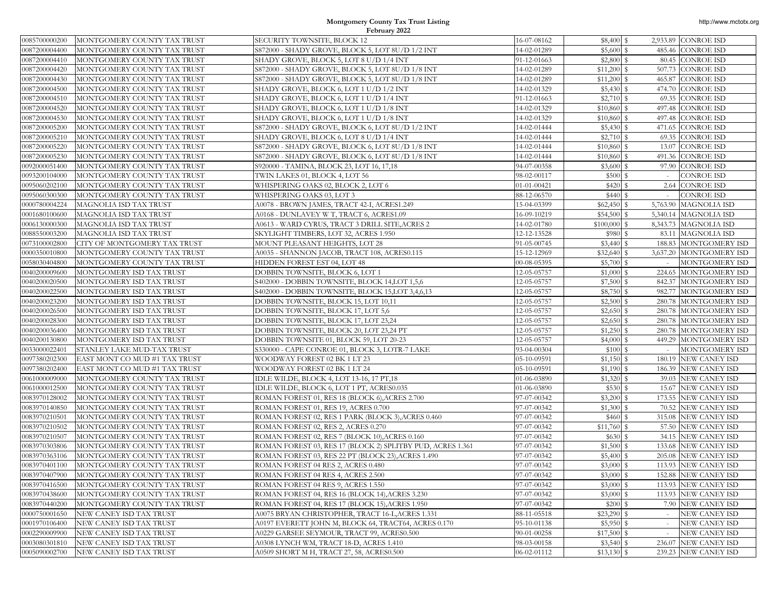| 0085700000200 | MONTGOMERY COUNTY TAX TRUST               | SECURITY TOWNSITE, BLOCK 12                                | 16-07-08162 | $$8,400$ $$$  |          | 2,933.89 CONROE ISD     |
|---------------|-------------------------------------------|------------------------------------------------------------|-------------|---------------|----------|-------------------------|
| 0087200004400 | MONTGOMERY COUNTY TAX TRUST               | S872000 - SHADY GROVE, BLOCK 5, LOT 8U/D 1/2 INT           | 14-02-01289 | \$5,600S      |          | 485.46 CONROE ISD       |
| 0087200004410 | MONTGOMERY COUNTY TAX TRUST               | SHADY GROVE, BLOCK 5, LOT 8 U/D 1/4 INT                    | 91-12-01663 | $$2,800$ \$   |          | 80.45 CONROE ISD        |
| 0087200004420 | MONTGOMERY COUNTY TAX TRUST               | S872000 - SHADY GROVE, BLOCK 5, LOT 8U/D 1/8 INT           | 14-02-01289 | $$11,200$ \$  |          | 507.73 CONROE ISD       |
| 0087200004430 | MONTGOMERY COUNTY TAX TRUST               | S872000 - SHADY GROVE, BLOCK 5, LOT 8U/D 1/8 INT           | 14-02-01289 | $$11,200$ \$  | 465.87   | <b>CONROE ISD</b>       |
| 0087200004500 | MONTGOMERY COUNTY TAX TRUST               | SHADY GROVE, BLOCK 6, LOT 1 U/D 1/2 INT                    | 14-02-01329 | $$5,430$ $$$  |          | 474.70 CONROE ISD       |
| 0087200004510 | MONTGOMERY COUNTY TAX TRUST               | SHADY GROVE, BLOCK 6, LOT 1 U/D 1/4 INT                    | 91-12-01663 | $$2,710$ $$$  |          | 69.35 CONROE ISD        |
| 0087200004520 | MONTGOMERY COUNTY TAX TRUST               | SHADY GROVE, BLOCK 6, LOT 1 U/D 1/8 INT                    | 14-02-01329 | $$10,860$ \$  |          | 497.48 CONROE ISD       |
| 0087200004530 | MONTGOMERY COUNTY TAX TRUST               | SHADY GROVE, BLOCK 6, LOT 1 U/D 1/8 INT                    | 14-02-01329 | $$10,860$ \$  |          | 497.48 CONROE ISD       |
| 0087200005200 | MONTGOMERY COUNTY TAX TRUST               | S872000 - SHADY GROVE, BLOCK 6, LOT 8U/D 1/2 INT           | 14-02-01444 | $$5,430$ \$   |          | 471.65 CONROE ISD       |
| 0087200005210 | MONTGOMERY COUNTY TAX TRUST               | SHADY GROVE, BLOCK 6, LOT 8 U/D 1/4 INT                    | 14-02-01444 |               |          | 69.35 CONROE ISD        |
| 0087200005220 | MONTGOMERY COUNTY TAX TRUST               | S872000 - SHADY GROVE, BLOCK 6, LOT 8U/D 1/8 INT           | 14-02-01444 | \$10,860 \$   | 13.07    | <b>CONROE ISD</b>       |
| 0087200005230 | MONTGOMERY COUNTY TAX TRUST               | S872000 - SHADY GROVE, BLOCK 6, LOT 8U/D 1/8 INT           | 14-02-01444 | $$10,860$ \$  |          | 491.36 CONROE ISD       |
| 0092000051400 | MONTGOMERY COUNTY TAX TRUST               | S920000 - TAMINA, BLOCK 23, LOT 16, 17,18                  | 94-07-00358 | \$3,600S      |          | 97.90 CONROE ISD        |
| 0093200104000 | MONTGOMERY COUNTY TAX TRUST               | TWIN LAKES 01, BLOCK 4, LOT 56                             | 98-02-00117 | \$500S        |          | <b>CONROE ISD</b>       |
| 0095060202100 | MONTGOMERY COUNTY TAX TRUST               | WHISPERING OAKS 02, BLOCK 2, LOT 6                         | 01-01-00421 | \$420S        |          | 2.64 CONROE ISD         |
| 0095060300300 | MONTGOMERY COUNTY TAX TRUST               | WHISPERING OAKS 03, LOT 3                                  | 88-12-06570 | \$440S        | $\sim$   | <b>CONROE ISD</b>       |
| 0000780004224 | MAGNOLIA ISD TAX TRUST                    | A0078 - BROWN JAMES, TRACT 42-I, ACRES1.249                | 15-04-03399 | $$62,450$ \$  | 5,763.90 | <b>MAGNOLIA ISD</b>     |
| 0001680100600 | MAGNOLIA ISD TAX TRUST                    | A0168 - DUNLAVEY W T, TRACT 6, ACRES1.09                   | 16-09-10219 | \$54,500S     |          | 5,340.14 MAGNOLIA ISD   |
| 0006130000300 | MAGNOLIA ISD TAX TRUST                    | A0613 - WARD CYRUS, TRACT 3 DRILL SITE,ACRES 2             | 14-02-01780 | $$100,000$ \$ |          | 8,343.73 MAGNOLIA ISD   |
| 0088550003200 | MAGNOLIA ISD TAX TRUST                    | SKYLIGHT TIMBERS, LOT 32, ACRES 1.950                      | 12-12-13528 | \$980S        |          | 83.11 MAGNOLIA ISD      |
| 0073100002800 | CITY OF MONTGOMERY TAX TRUST              | MOUNT PLEASANT HEIGHTS, LOT 28                             | 91-05-00745 |               |          | 188.83 MONTGOMERY ISD   |
| 0000350010800 | MONTGOMERY COUNTY TAX TRUST               | A0035 - SHANNON JACOB, TRACT 108, ACRES0.115               | 15-12-12969 | \$32,640      | -S       | 3,637.20 MONTGOMERY ISD |
| 0058030404800 | MONTGOMERY COUNTY TAX TRUST               | HIDDEN FOREST EST 04, LOT 48                               | 00-08-05395 | \$5,700 \$    | $\sim$   | MONTGOMERY ISD          |
| 0040200009600 | MONTGOMERY ISD TAX TRUST                  | DOBBIN TOWNSITE, BLOCK 6, LOT 1                            | 12-05-05757 | $$1,000$ \$   |          | 224.65 MONTGOMERY ISD   |
| 0040200020500 | MONTGOMERY ISD TAX TRUST                  | S402000 - DOBBIN TOWNSITE, BLOCK 14,LOT 1,5,6              | 12-05-05757 | \$7,500 \$    |          | 842.37 MONTGOMERY ISD   |
| 0040200022500 | MONTGOMERY ISD TAX TRUST                  | S402000 - DOBBIN TOWNSITE, BLOCK 15,LOT 3,4,6,13           | 12-05-05757 |               | 982.77   | MONTGOMERY ISD          |
| 0040200023200 | MONTGOMERY ISD TAX TRUST                  | DOBBIN TOWNSITE, BLOCK 15, LOT 10,11                       | 12-05-05757 | $$2,500$ \$   |          | 280.78 MONTGOMERY ISD   |
| 0040200026500 | MONTGOMERY ISD TAX TRUST                  | DOBBIN TOWNSITE, BLOCK 17, LOT 5,6                         | 12-05-05757 | $$2,650$ \$   |          | 280.78 MONTGOMERY ISD   |
| 0040200028300 | MONTGOMERY ISD TAX TRUST                  | DOBBIN TOWNSITE, BLOCK 17, LOT 23,24                       | 12-05-05757 | $$2,650$ \$   | 280.78   | MONTGOMERY ISD          |
| 0040200036400 | MONTGOMERY ISD TAX TRUST                  | DOBBIN TOWNSITE, BLOCK 20, LOT 23,24 PT                    | 12-05-05757 |               |          | 280.78 MONTGOMERY ISD   |
| 0040200130800 | MONTGOMERY ISD TAX TRUST                  | DOBBIN TOWNSITE 01, BLOCK 59, LOT 20-23                    | 12-05-05757 | $$4,000$ \$   |          | 449.29 MONTGOMERY ISD   |
| 0033000022401 | STANLEY LAKE MUD-TAX TRUST                | S330000 - CAPE CONROE 01, BLOCK 3, LOTR-7 LAKE             | 93-04-00304 | \$100S        |          | MONTGOMERY ISD          |
| 0097380202300 | EAST MONT CO MUD #1 TAX TRUST             | WOODWAY FOREST 02 BK 1 LT 23                               | 05-10-09591 |               |          | 180.19 NEW CANEY ISD    |
| 0097380202400 | EAST MONT CO MUD #1 TAX TRUST             | WOODWAY FOREST 02 BK 1 LT 24                               | 05-10-09591 | $$1,190$ \$   |          | 186.39 NEW CANEY ISD    |
| 0061000009000 | MONTGOMERY COUNTY TAX TRUST               | IDLE WILDE, BLOCK 4, LOT 13-16, 17 PT, 18                  | 01-06-03890 |               |          | 39.03 NEW CANEY ISD     |
| 0061000012500 | MONTGOMERY COUNTY TAX TRUST               | IDLE WILDE, BLOCK 6, LOT 1 PT, ACRES0.035                  | 01-06-03890 | \$530S        |          | 15.67 NEW CANEY ISD     |
| 0083970128002 | MONTGOMERY COUNTY TAX TRUST               | ROMAN FOREST 01, RES 18 (BLOCK 6), ACRES 2.700             | 97-07-00342 | $$3,200$ $$$  |          | 173.55 NEW CANEY ISD    |
| 0083970140850 | MONTGOMERY COUNTY TAX TRUST               | ROMAN FOREST 01, RES 19, ACRES 0.700                       | 97-07-00342 | \$1,300S      |          | 70.52 NEW CANEY ISD     |
| 0083970210501 | MONTGOMERY COUNTY TAX TRUST               | ROMAN FOREST 02, RES 1 PARK (BLOCK 3), ACRES 0.460         | 97-07-00342 | \$460S        |          | 315.08 NEW CANEY ISD    |
| 0083970210502 | MONTGOMERY COUNTY TAX TRUST               | ROMAN FOREST 02, RES 2, ACRES 0.270                        | 97-07-00342 | $$11,760$ \$  |          | 57.50 NEW CANEY ISD     |
| 0083970210507 | MONTGOMERY COUNTY TAX TRUST               | ROMAN FOREST 02, RES 7 (BLOCK 10), ACRES 0.160             | 97-07-00342 | \$630S        |          | 34.15 NEW CANEY ISD     |
| 0083970303806 | MONTGOMERY COUNTY TAX TRUST               | ROMAN FOREST 03, RES 17 (BLOCK 2) SPLITBY PUD, ACRES 1.361 | 97-07-00342 | $$1,500$ \$   |          | 133.68 NEW CANEY ISD    |
| 0083970363106 | MONTGOMERY COUNTY TAX TRUST               | ROMAN FOREST 03, RES 22 PT (BLOCK 23), ACRES 1.490         | 97-07-00342 | \$5,400 \$    |          | 205.08 NEW CANEY ISD    |
| 0083970401100 | MONTGOMERY COUNTY TAX TRUST               | ROMAN FOREST 04 RES 2, ACRES 0.480                         | 97-07-00342 | $$3,000$ \$   |          | 113.93 NEW CANEY ISD    |
|               | 0083970407900 MONTGOMERY COUNTY TAX TRUST | ROMAN FOREST 04 RES 4, ACRES 2.500                         | 97-07-00342 | $$3,000$ \$   |          | 152.88 NEW CANEY ISD    |
| 0083970416500 | MONTGOMERY COUNTY TAX TRUST               | ROMAN FOREST 04 RES 9, ACRES 1.550                         | 97-07-00342 | $$3,000$ \$   |          | 113.93 NEW CANEY ISD    |
| 0083970438600 | MONTGOMERY COUNTY TAX TRUST               | ROMAN FOREST 04, RES 16 (BLOCK 14), ACRES 3.230            | 97-07-00342 | $$3,000$ \$   |          | 113.93 NEW CANEY ISD    |
| 0083970440200 | MONTGOMERY COUNTY TAX TRUST               | ROMAN FOREST 04, RES 17 (BLOCK 15), ACRES 1.950            | 97-07-00342 | \$200S        |          | 7.90 NEW CANEY ISD      |
| 0000750001650 | NEW CANEY ISD TAX TRUST                   | A0075 BRYAN CHRISTOPHER, TRACT 16-L, ACRES 1.331           | 88-11-05518 | $$23,290$ \$  |          | <b>NEW CANEY ISD</b>    |
| 0001970106400 | NEW CANEY ISD TAX TRUST                   | A0197 EVERETT JOHN M, BLOCK 64, TRACT64, ACRES 0.170       | 95-10-01138 | $$5,950$ \$   |          | <b>NEW CANEY ISD</b>    |
| 0002290009900 | NEW CANEY ISD TAX TRUST                   | A0229 GARSEE SEYMOUR, TRACT 99, ACRES0.500                 | 90-01-00258 | $$17,500$ \$  | $\sim$   | <b>NEW CANEY ISD</b>    |
| 0003080301810 | NEW CANEY ISD TAX TRUST                   | A0308 LYNCH WM, TRACT 18-D, ACRES 1.410                    | 98-03-00158 | $$3,540$ \$   |          | 236.07 NEW CANEY ISD    |
| 0005090002700 | NEW CANEY ISD TAX TRUST                   | A0509 SHORT M H, TRACT 27, 58, ACRES0.500                  | 06-02-01112 | $$13,130$ \$  |          | 239.23 NEW CANEY ISD    |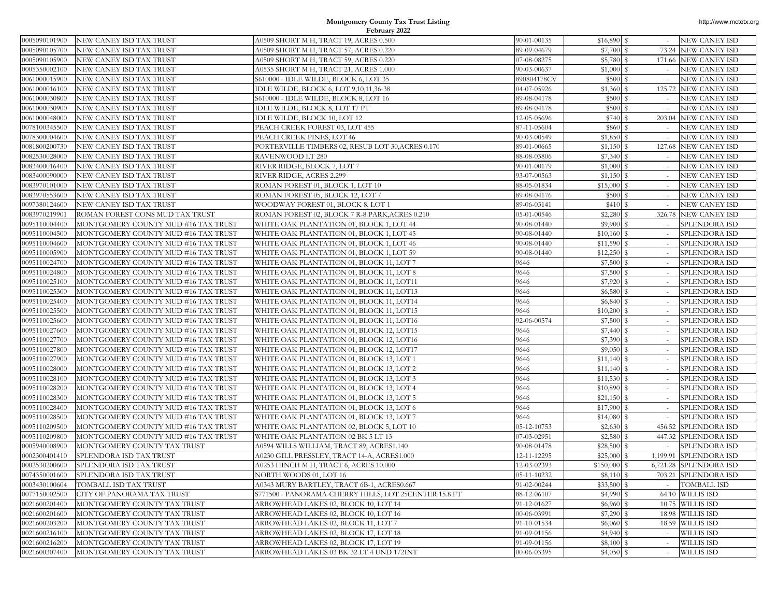| 0005090101900                  | NEW CANEY ISD TAX TRUST                                        | A0509 SHORT M H, TRACT 19, ACRES 0.500                                                              | 90-01-00135                | $$16,890$ \$             |                         | <b>NEW CANEY ISD</b>                    |
|--------------------------------|----------------------------------------------------------------|-----------------------------------------------------------------------------------------------------|----------------------------|--------------------------|-------------------------|-----------------------------------------|
| 0005090105700                  | NEW CANEY ISD TAX TRUST                                        | A0509 SHORT M H, TRACT 57, ACRES 0.220                                                              | 89-09-04679                | $$7,700$ \$              |                         | 73.24 NEW CANEY ISD                     |
| 0005090105900                  | NEW CANEY ISD TAX TRUST                                        | A0509 SHORT M H, TRACT 59, ACRES 0.220                                                              | 07-08-08275                | \$5,780S                 |                         | 171.66 NEW CANEY ISD                    |
| 0005350002100                  | NEW CANEY ISD TAX TRUST                                        | A0535 SHORT M H, TRACT 21, ACRES 1.000                                                              | 90-03-00637                | $$1,000$ \$              |                         | NEW CANEY ISD                           |
| 0061000015900                  | NEW CANEY ISD TAX TRUST                                        | S610000 - IDLE WILDE, BLOCK 6, LOT 35                                                               | 890804178CV                | \$500S                   |                         | NEW CANEY ISD                           |
| 0061000016100                  | NEW CANEY ISD TAX TRUST                                        | IDLE WILDE, BLOCK 6, LOT 9,10,11,36-38                                                              | 04-07-05926                | $$1,360$ \$              |                         | 125.72 NEW CANEY ISD                    |
| 0061000030800                  | NEW CANEY ISD TAX TRUST                                        | S610000 - IDLE WILDE, BLOCK 8, LOT 16                                                               | 89-08-04178                | \$500 \$                 | $\sim$                  | <b>NEW CANEY ISD</b>                    |
| 0061000030900                  | NEW CANEY ISD TAX TRUST                                        | IDLE WILDE, BLOCK 8, LOT 17 PT                                                                      | 89-08-04178                | \$500 \$                 |                         | NEW CANEY ISD                           |
| 0061000048000                  | NEW CANEY ISD TAX TRUST                                        | IDLE WILDE, BLOCK 10, LOT 12                                                                        | 12-05-05696                | \$740 \$                 |                         | 203.04 NEW CANEY ISD                    |
| 0078100345500                  | NEW CANEY ISD TAX TRUST                                        | PEACH CREEK FOREST 03, LOT 455                                                                      | 87-11-05604                | \$860 \$                 | $\sim$                  | NEW CANEY ISD                           |
| 0078300004600                  | NEW CANEY ISD TAX TRUST                                        | PEACH CREEK PINES, LOT 46                                                                           | 90-03-00549                |                          |                         | NEW CANEY ISD                           |
| 0081800200730                  | NEW CANEY ISD TAX TRUST                                        | PORTERVILLE TIMBERS 02, RESUB LOT 30, ACRES 0.170                                                   | 89-01-00665                | $$1,150$ \ \$            |                         | 127.68 NEW CANEY ISD                    |
| 082530028000                   | NEW CANEY ISD TAX TRUST                                        | RAVENWOOD LT 280                                                                                    | 88-08-03806                | $$7,340$ \$              | $\sim$                  | NEW CANEY ISD                           |
| 0083400016400                  | NEW CANEY ISD TAX TRUST                                        | RIVER RIDGE, BLOCK 7, LOT 7                                                                         | 90-01-00179                | $$1,000$ \$              |                         | NEW CANEY ISD                           |
| 0083400090000                  | NEW CANEY ISD TAX TRUST                                        | RIVER RIDGE, ACRES 2.299                                                                            | 93-07-00563                | $$1,150$ \ \$            |                         | NEW CANEY ISD                           |
| 083970101000                   | NEW CANEY ISD TAX TRUST                                        | ROMAN FOREST 01, BLOCK 1, LOT 10                                                                    | 88-05-01834                | \$15,000S                |                         | NEW CANEY ISD                           |
| 083970553600                   | NEW CANEY ISD TAX TRUST                                        | ROMAN FOREST 05, BLOCK 12, LOT 7                                                                    | 89-08-04176                | \$500 \$                 |                         | NEW CANEY ISD                           |
| 0097380124600                  | NEW CANEY ISD TAX TRUST                                        | WOODWAY FOREST 01, BLOCK 8, LOT 1                                                                   | 89-06-03141                | \$410 \$                 |                         | NEW CANEY ISD                           |
| 083970219901                   | ROMAN FOREST CONS MUD TAX TRUST                                | ROMAN FOREST 02, BLOCK 7 R-8 PARK,ACRES 0.210                                                       | 05-01-00546                | \$2,280                  | <sup>\$</sup><br>326.78 | <b>NEW CANEY ISD</b>                    |
| 095110004400                   | MONTGOMERY COUNTY MUD #16 TAX TRUST                            | WHITE OAK PLANTATION 01, BLOCK 1, LOT 44                                                            | 90-08-01440                | $$9,900$ \$              |                         | SPLENDORA ISD                           |
| 0095110004500                  | MONTGOMERY COUNTY MUD #16 TAX TRUST                            | WHITE OAK PLANTATION 01, BLOCK 1, LOT 45                                                            | 90-08-01440                | $$10,160$ \$             |                         | SPLENDORA ISD                           |
| 0095110004600                  | MONTGOMERY COUNTY MUD #16 TAX TRUST                            | WHITE OAK PLANTATION 01, BLOCK 1, LOT 46                                                            | 90-08-01440                | $$11,590$ \$             |                         | SPLENDORA ISD                           |
| 095110005900                   | MONTGOMERY COUNTY MUD #16 TAX TRUST                            | WHITE OAK PLANTATION 01, BLOCK 1, LOT 59                                                            | 90-08-01440                | \$12,250                 |                         | SPLENDORA ISD                           |
| 095110024700                   | MONTGOMERY COUNTY MUD #16 TAX TRUST                            | WHITE OAK PLANTATION 01, BLOCK 11, LOT 7                                                            | 9646                       | $$7,500$ \$              | $\sim$                  | SPLENDORA ISD                           |
| 095110024800                   | MONTGOMERY COUNTY MUD #16 TAX TRUST                            | WHITE OAK PLANTATION 01, BLOCK 11, LOT 8                                                            | 9646                       | \$7,500 \$               |                         | SPLENDORA ISD                           |
| 0095110025100                  | MONTGOMERY COUNTY MUD #16 TAX TRUST                            | WHITE OAK PLANTATION 01, BLOCK 11, LOT11                                                            | 9646                       | $$7,920$ \$              |                         | SPLENDORA ISD                           |
| 095110025300                   | MONTGOMERY COUNTY MUD #16 TAX TRUST                            | WHITE OAK PLANTATION 01, BLOCK 11, LOT13                                                            | 9646                       | $$6,580$ \$              |                         | SPLENDORA ISD                           |
| 095110025400                   | MONTGOMERY COUNTY MUD #16 TAX TRUST                            | WHITE OAK PLANTATION 01, BLOCK 11, LOT14                                                            | 9646                       | $$6,840$ \ \$            |                         | SPLENDORA ISD                           |
| 0095110025500                  | MONTGOMERY COUNTY MUD #16 TAX TRUST                            | WHITE OAK PLANTATION 01, BLOCK 11, LOT15                                                            | 9646                       | \$10,200                 | <sup>\$</sup>           | SPLENDORA ISD                           |
| 095110025600                   | MONTGOMERY COUNTY MUD #16 TAX TRUST                            | WHITE OAK PLANTATION 01, BLOCK 11, LOT16                                                            | 92-06-00574                | \$7,500                  | <sup>\$</sup>           | SPLENDORA ISD                           |
| 095110027600                   | MONTGOMERY COUNTY MUD #16 TAX TRUST                            | WHITE OAK PLANTATION 01, BLOCK 12, LOT15                                                            | 9646                       |                          |                         | SPLENDORA ISD                           |
| 095110027700                   | MONTGOMERY COUNTY MUD #16 TAX TRUST                            | WHITE OAK PLANTATION 01, BLOCK 12, LOT16                                                            | 9646                       | \$7,390 \$               |                         | SPLENDORA ISD                           |
| 0095110027800                  | MONTGOMERY COUNTY MUD #16 TAX TRUST                            | WHITE OAK PLANTATION 01, BLOCK 12, LOT17                                                            | 9646                       | $$9,050$ \$              |                         | SPLENDORA ISD                           |
| 095110027900                   | MONTGOMERY COUNTY MUD #16 TAX TRUST                            | WHITE OAK PLANTATION 01, BLOCK 13, LOT 1                                                            | 9646                       |                          |                         | SPLENDORA ISD                           |
| 095110028000                   | MONTGOMERY COUNTY MUD #16 TAX TRUST                            | WHITE OAK PLANTATION 01, BLOCK 13, LOT 2                                                            | 9646                       | $$11,140$ \$             |                         | SPLENDORA ISD                           |
| 095110028100                   | MONTGOMERY COUNTY MUD #16 TAX TRUST                            | WHITE OAK PLANTATION 01, BLOCK 13, LOT 3                                                            | 9646                       | $$11,530$ \$             |                         | SPLENDORA ISD                           |
| 0095110028200                  | MONTGOMERY COUNTY MUD #16 TAX TRUST                            | WHITE OAK PLANTATION 01, BLOCK 13, LOT 4                                                            | 9646                       | \$10,890 \$              |                         | SPLENDORA ISD                           |
| 095110028300                   | MONTGOMERY COUNTY MUD #16 TAX TRUST                            | WHITE OAK PLANTATION 01, BLOCK 13, LOT 5                                                            | 9646                       | $$21,150$ \$             | $\sim$                  | SPLENDORA ISD                           |
| 095110028400                   | MONTGOMERY COUNTY MUD #16 TAX TRUST                            | WHITE OAK PLANTATION 01, BLOCK 13, LOT 6                                                            | 9646                       | $$17,900$ \$             |                         | SPLENDORA ISD                           |
| 0095110028500                  | MONTGOMERY COUNTY MUD #16 TAX TRUST                            | WHITE OAK PLANTATION 01, BLOCK 13, LOT 7                                                            | 9646                       | $$14,080$ \$             |                         | SPLENDORA ISD                           |
| 095110209500                   | MONTGOMERY COUNTY MUD #16 TAX TRUST                            | WHITE OAK PLANTATION 02, BLOCK 5, LOT 10                                                            | 05-12-10753                | \$2,630                  | 456.52<br>s             | SPLENDORA ISD                           |
| 095110209800                   | MONTGOMERY COUNTY MUD #16 TAX TRUST                            | WHITE OAK PLANTATION 02 BK 5 LT 13                                                                  | 07-03-02951                | $$2,580$ \$              |                         | 447.32 SPLENDORA ISD                    |
| 0005940008900                  | MONTGOMERY COUNTY TAX TRUST                                    | A0594 WILLS WILLIAM, TRACT 89, ACRES1.140                                                           | 90-08-01478                | \$28,500 \$              |                         | SPLENDORA ISD<br>1,199.91 SPLENDORA ISD |
| 0002300401410<br>0002530200600 | SPLENDORA ISD TAX TRUST<br>SPLENDORA ISD TAX TRUST             | A0230 GILL PRESSLEY, TRACT 14-A, ACRES1.000                                                         | 12-11-12295                | \$25,000S                |                         | 6,721.28 SPLENDORA ISD                  |
|                                |                                                                | A0253 HINCH M H, TRACT 6, ACRES 10.000                                                              | 12-03-02393                | $$150,000$ \$            |                         |                                         |
|                                | 0074350001600 SPLENDORA ISD TAX TRUST<br>TOMBALL ISD TAX TRUST | NORTH WOODS 01, LOT 16                                                                              | 05-11-10232<br>91-02-00244 | $$8,110$ \$              |                         | 703.21 SPLENDORA ISD                    |
| 0003430100604<br>0077150002500 | <b>CITY OF PANORAMA TAX TRUST</b>                              | A0343 MURY BARTLEY, TRACT 6B-1, ACRES0.667<br>S771500 - PANORAMA-CHERRY HILLS, LOT 25CENTER 15.8 FT | 88-12-06107                | $$33,500$ \$<br>\$4,990S |                         | <b>TOMBALL ISD</b><br>64.10 WILLIS ISD  |
| 0021600201400                  | MONTGOMERY COUNTY TAX TRUST                                    | ARROWHEAD LAKES 02, BLOCK 10, LOT 14                                                                | 91-12-01627                | $$6,960$ \$              |                         | 10.75 WILLIS ISD                        |
| 0021600201600                  | MONTGOMERY COUNTY TAX TRUST                                    | ARROWHEAD LAKES 02, BLOCK 10, LOT 16                                                                | 00-06-03991                | $$7,290$ \$              |                         | 18.98 WILLIS ISD                        |
| 0021600203200                  | MONTGOMERY COUNTY TAX TRUST                                    | ARROWHEAD LAKES 02, BLOCK 11, LOT 7                                                                 | 91-10-01534                | $$6,060$ \$              |                         | 18.59 WILLIS ISD                        |
| 0021600216100                  | MONTGOMERY COUNTY TAX TRUST                                    | ARROWHEAD LAKES 02, BLOCK 17, LOT 18                                                                | 91-09-01156                | $$4,940$ \$              | $\sim$                  | <b>WILLIS ISD</b>                       |
| 0021600216200                  | MONTGOMERY COUNTY TAX TRUST                                    | ARROWHEAD LAKES 02, BLOCK 17, LOT 19                                                                | 91-09-01156                | $$8,100$ \$              |                         | WILLIS ISD                              |
| 0021600307400                  | MONTGOMERY COUNTY TAX TRUST                                    | ARROWHEAD LAKES 03 BK 32 LT 4 UND 1/2INT                                                            | 00-06-03395                | $$4,050$ \$              |                         | WILLIS ISD                              |
|                                |                                                                |                                                                                                     |                            |                          |                         |                                         |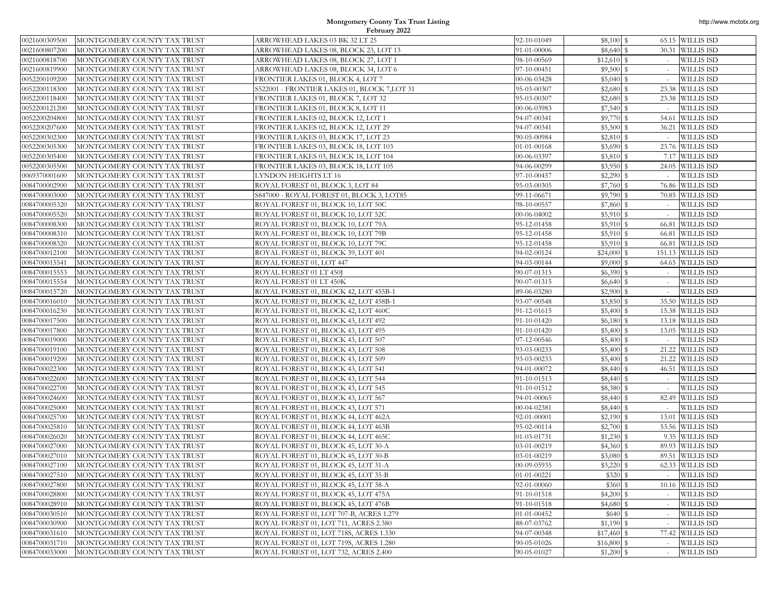| 0021600309500 | MONTGOMERY COUNTY TAX TRUST | ARROWHEAD LAKES 03 BK 32 LT 25              | 92-10-01049 | $$8,100$ $$$  |        | 65.15 WILLIS ISD  |
|---------------|-----------------------------|---------------------------------------------|-------------|---------------|--------|-------------------|
| 0021600807200 | MONTGOMERY COUNTY TAX TRUST | ARROWHEAD LAKES 08, BLOCK 23, LOT 13        | 91-01-00006 |               |        | 30.31 WILLIS ISD  |
| 0021600818700 | MONTGOMERY COUNTY TAX TRUST | ARROWHEAD LAKES 08, BLOCK 27, LOT 1         | 98-10-00569 |               |        | <b>WILLIS ISD</b> |
| 0021600819900 | MONTGOMERY COUNTY TAX TRUST | ARROWHEAD LAKES 08, BLOCK 34, LOT 6         | 97-10-00451 | $$9,500$ $$$  |        | <b>WILLIS ISD</b> |
| 0052200109200 | MONTGOMERY COUNTY TAX TRUST | FRONTIER LAKES 01, BLOCK 4, LOT 7           | 00-06-03428 | $$5,040$ \ \$ |        | <b>WILLIS ISD</b> |
| 0052200118300 | MONTGOMERY COUNTY TAX TRUST | S522001 - FRONTIER LAKES 01, BLOCK 7,LOT 31 | 95-03-00307 |               |        | 23.38 WILLIS ISD  |
| 0052200118400 | MONTGOMERY COUNTY TAX TRUST | FRONTIER LAKES 01, BLOCK 7, LOT 32          | 95-03-00307 | $$2,680$ \$   |        | 23.38 WILLIS ISD  |
| 0052200121200 | MONTGOMERY COUNTY TAX TRUST | FRONTIER LAKES 01, BLOCK 8, LOT 11          | 00-06-03983 | $$7,540$ \$   |        | <b>WILLIS ISD</b> |
| 0052200204800 | MONTGOMERY COUNTY TAX TRUST | FRONTIER LAKES 02, BLOCK 12, LOT 1          | 94-07-00341 |               |        | 54.61 WILLIS ISD  |
| 0052200207600 | MONTGOMERY COUNTY TAX TRUST | FRONTIER LAKES 02, BLOCK 12, LOT 29         | 94-07-00341 | \$5,500S      |        | 36.21 WILLIS ISD  |
| 0052200302300 | MONTGOMERY COUNTY TAX TRUST | FRONTIER LAKES 03, BLOCK 17, LOT 23         | 90-05-00984 |               |        | <b>WILLIS ISD</b> |
| 0052200305300 | MONTGOMERY COUNTY TAX TRUST | FRONTIER LAKES 03, BLOCK 18, LOT 103        | 01-01-00168 | $$3,690$ \$   |        | 23.76 WILLIS ISD  |
| 0052200305400 | MONTGOMERY COUNTY TAX TRUST | FRONTIER LAKES 03, BLOCK 18, LOT 104        | 00-06-03397 | \$3,810 \$    |        | 7.17 WILLIS ISD   |
| 0052200305500 | MONTGOMERY COUNTY TAX TRUST | FRONTIER LAKES 03, BLOCK 18, LOT 105        | 94-06-00299 | $$3,950$ \$   |        | 24.05 WILLIS ISD  |
| 0069370001600 | MONTGOMERY COUNTY TAX TRUST | LYNDON HEIGHTS LT 16                        | 97-10-00457 |               |        | <b>WILLIS ISD</b> |
| 0084700002900 | MONTGOMERY COUNTY TAX TRUST | ROYAL FOREST 01, BLOCK 3, LOT 84            | 95-03-00305 | \$7,760 \$    |        | 76.86 WILLIS ISD  |
| 0084700003000 | MONTGOMERY COUNTY TAX TRUST | S847000 - ROYAL FOREST 01, BLOCK 3, LOT85   | 99-11-06671 | \$9,790S      |        | 70.85 WILLIS ISD  |
| 0084700005320 | MONTGOMERY COUNTY TAX TRUST | ROYAL FOREST 01, BLOCK 10, LOT 50C          | 98-10-00557 | \$7,860 \$    |        | <b>WILLIS ISD</b> |
| 0084700005520 | MONTGOMERY COUNTY TAX TRUST | ROYAL FOREST 01, BLOCK 10, LOT 52C          | 00-06-04002 | $$5,910$ \$   |        | <b>WILLIS ISD</b> |
| 0084700008300 | MONTGOMERY COUNTY TAX TRUST | ROYAL FOREST 01, BLOCK 10, LOT 79A          | 95-12-01458 |               |        | 66.81 WILLIS ISD  |
| 0084700008310 | MONTGOMERY COUNTY TAX TRUST | ROYAL FOREST 01, BLOCK 10, LOT 79B          | 95-12-01458 | $$5,910$ \$   |        | 66.81 WILLIS ISD  |
| 0084700008320 | MONTGOMERY COUNTY TAX TRUST | ROYAL FOREST 01, BLOCK 10, LOT 79C          | 95-12-01458 | $$5,910$ \$   |        | 66.81 WILLIS ISD  |
| 0084700012100 | MONTGOMERY COUNTY TAX TRUST | ROYAL FOREST 01, BLOCK 39, LOT 401          | 94-02-00124 | $$24,000$ \$  |        | 151.13 WILLIS ISD |
| 0084700015541 | MONTGOMERY COUNTY TAX TRUST | ROYAL FOREST 01, LOT 447                    | 94-03-00144 | $$9,000$ $$$  |        | 64.65 WILLIS ISD  |
| 0084700015553 | MONTGOMERY COUNTY TAX TRUST | ROYAL FOREST 01 LT 450J                     | 90-07-01315 | $$6,390$ \$   |        | <b>WILLIS ISD</b> |
| 0084700015554 | MONTGOMERY COUNTY TAX TRUST | ROYAL FOREST 01 LT 450K                     | 90-07-01315 | \$6,640S      |        | <b>WILLIS ISD</b> |
| 0084700015720 | MONTGOMERY COUNTY TAX TRUST | ROYAL FOREST 01, BLOCK 42, LOT 455B-1       | 89-06-03280 | $$2,900$ $$$  | $\sim$ | <b>WILLIS ISD</b> |
| 0084700016010 | MONTGOMERY COUNTY TAX TRUST | ROYAL FOREST 01, BLOCK 42, LOT 458B-1       | 93-07-00548 | $$3,850$ \$   |        | 35.50 WILLIS ISD  |
| 0084700016230 | MONTGOMERY COUNTY TAX TRUST | ROYAL FOREST 01, BLOCK 42, LOT 460C         | 91-12-01615 | \$5,400S      |        | 15.38 WILLIS ISD  |
| 0084700017500 | MONTGOMERY COUNTY TAX TRUST | ROYAL FOREST 01, BLOCK 43, LOT 492          | 91-10-01420 | $$6,180$ \ \$ |        | 13.18 WILLIS ISD  |
| 0084700017800 | MONTGOMERY COUNTY TAX TRUST | ROYAL FOREST 01, BLOCK 43, LOT 495          | 91-10-01420 | \$5,400S      |        | 13.05 WILLIS ISD  |
| 0084700019000 | MONTGOMERY COUNTY TAX TRUST | ROYAL FOREST 01, BLOCK 43, LOT 507          | 97-12-00546 | \$5,400S      |        | <b>WILLIS ISD</b> |
| 0084700019100 | MONTGOMERY COUNTY TAX TRUST | ROYAL FOREST 01, BLOCK 43, LOT 508          | 93-03-00233 | \$5,400 \$    |        | 21.22 WILLIS ISD  |
| 0084700019200 | MONTGOMERY COUNTY TAX TRUST | ROYAL FOREST 01, BLOCK 43, LOT 509          | 93-03-00233 | $$5,400$ \$   |        | 21.22 WILLIS ISD  |
| 0084700022300 | MONTGOMERY COUNTY TAX TRUST | ROYAL FOREST 01, BLOCK 43, LOT 541          | 94-01-00072 | $$8,440$ $$$  |        | 46.51 WILLIS ISD  |
| 0084700022600 | MONTGOMERY COUNTY TAX TRUST | ROYAL FOREST 01, BLOCK 43, LOT 544          | 91-10-01513 |               | $\sim$ | <b>WILLIS ISD</b> |
| 0084700022700 | MONTGOMERY COUNTY TAX TRUST | ROYAL FOREST 01, BLOCK 43, LOT 545          | 91-10-01512 | \$8,380 \$    |        | <b>WILLIS ISD</b> |
| 0084700024600 | MONTGOMERY COUNTY TAX TRUST | ROYAL FOREST 01, BLOCK 43, LOT 567          | 94-01-00065 |               |        | 82.49 WILLIS ISD  |
| 0084700025000 | MONTGOMERY COUNTY TAX TRUST | ROYAL FOREST 01, BLOCK 43, LOT 571          | 00-04-02381 |               |        | <b>WILLIS ISD</b> |
| 0084700025700 | MONTGOMERY COUNTY TAX TRUST | ROYAL FOREST 01, BLOCK 44, LOT 462A         | 92-01-00001 | $$2,190$ \$   |        | 13.01 WILLIS ISD  |
| 0084700025810 | MONTGOMERY COUNTY TAX TRUST | ROYAL FOREST 01, BLOCK 44, LOT 463B         | 95-02-00114 | $$2,700$ \$   |        | 53.56 WILLIS ISD  |
| 0084700026020 | MONTGOMERY COUNTY TAX TRUST | ROYAL FOREST 01, BLOCK 44, LOT 465C         | 01-03-01731 |               |        | 9.35 WILLIS ISD   |
| 0084700027000 | MONTGOMERY COUNTY TAX TRUST | ROYAL FOREST 01, BLOCK 45, LOT 30-A         | 03-01-00219 | $$4,360$ $$$  |        | 89.93 WILLIS ISD  |
| 0084700027010 | MONTGOMERY COUNTY TAX TRUST | ROYAL FOREST 01, BLOCK 45, LOT 30-B         | 03-01-00219 | $$3,080$ \$   |        | 89.51 WILLIS ISD  |
| 0084700027100 | MONTGOMERY COUNTY TAX TRUST | ROYAL FOREST 01, BLOCK 45, LOT 31-A         | 00-09-05935 | $$3,220$ $$$  |        | 62.33 WILLIS ISD  |
| 0084700027510 | MONTGOMERY COUNTY TAX TRUST | ROYAL FOREST 01, BLOCK 45, LOT 35-B         | 01-01-00221 | $$320$ $$$    |        | WILLIS ISD        |
| 0084700027800 | MONTGOMERY COUNTY TAX TRUST | ROYAL FOREST 01, BLOCK 45, LOT 38-A         | 92-01-00060 | \$360S        |        | 10.16 WILLIS ISD  |
| 0084700028800 | MONTGOMERY COUNTY TAX TRUST | ROYAL FOREST 01, BLOCK 45, LOT 475A         | 91-10-01518 | $$4,200$ \$   |        | <b>WILLIS ISD</b> |
| 0084700028910 | MONTGOMERY COUNTY TAX TRUST | ROYAL FOREST 01, BLOCK 45, LOT 476B         | 91-10-01518 | $$4,680$ \$   | $\sim$ | <b>WILLIS ISD</b> |
| 0084700030510 | MONTGOMERY COUNTY TAX TRUST | ROYAL FOREST 01, LOT 707-B, ACRES 1.279     | 01-01-00452 | \$640S        |        | <b>WILLIS ISD</b> |
| 0084700030900 | MONTGOMERY COUNTY TAX TRUST | ROYAL FOREST 01, LOT 711, ACRES 2.380       | 88-07-03762 | $$1,190$ \$   |        | <b>WILLIS ISD</b> |
| 0084700031610 | MONTGOMERY COUNTY TAX TRUST | ROYAL FOREST 01, LOT 718S, ACRES 1.330      | 94-07-00348 | \$17,460 \$   |        | 77.42 WILLIS ISD  |
| 0084700031710 | MONTGOMERY COUNTY TAX TRUST | ROYAL FOREST 01, LOT 719S, ACRES 1.280      | 90-05-01026 | $$16,800$ \$  |        | WILLIS ISD        |
| 0084700033000 | MONTGOMERY COUNTY TAX TRUST | ROYAL FOREST 01, LOT 732, ACRES 2.400       | 90-05-01027 | $$1,200$ \$   |        | <b>WILLIS ISD</b> |